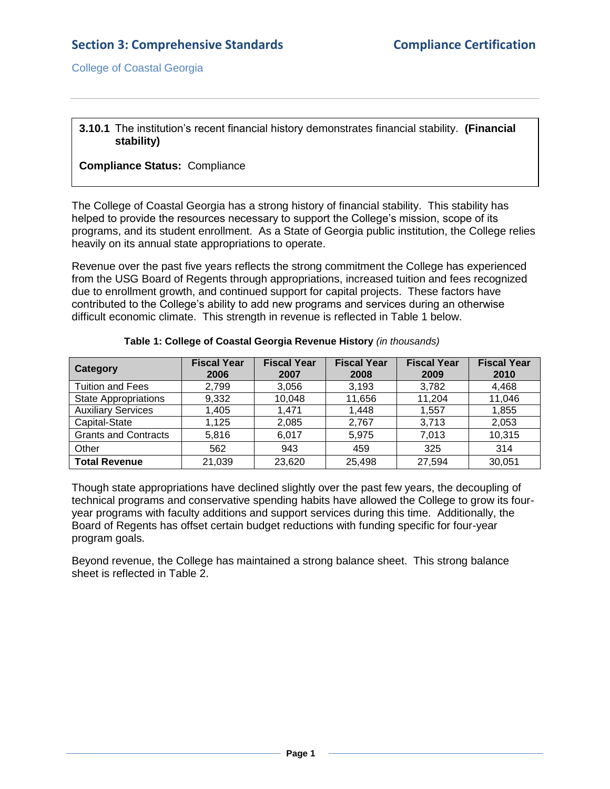#### **3.10.1** The institution's recent financial history demonstrates financial stability. **(Financial stability)**

### **Compliance Status:** Compliance

The College of Coastal Georgia has a strong history of financial stability. This stability has helped to provide the resources necessary to support the College's mission, scope of its programs, and its student enrollment. As a State of Georgia public institution, the College relies heavily on its annual state appropriations to operate.

Revenue over the past five years reflects the strong commitment the College has experienced from the USG Board of Regents through appropriations, increased tuition and fees recognized due to enrollment growth, and continued support for capital projects. These factors have contributed to the College's ability to add new programs and services during an otherwise difficult economic climate. This strength in revenue is reflected in Table 1 below.

| <b>Category</b>             | <b>Fiscal Year</b><br>2006 | <b>Fiscal Year</b><br>2007 | <b>Fiscal Year</b><br>2008 | <b>Fiscal Year</b><br>2009 | <b>Fiscal Year</b><br>2010 |
|-----------------------------|----------------------------|----------------------------|----------------------------|----------------------------|----------------------------|
| <b>Tuition and Fees</b>     | 2,799                      | 3,056                      | 3,193                      | 3,782                      | 4,468                      |
| <b>State Appropriations</b> | 9,332                      | 10,048                     | 11,656                     | 11,204                     | 11,046                     |
| <b>Auxiliary Services</b>   | 1,405                      | 1.471                      | 1,448                      | 1,557                      | 1,855                      |
| Capital-State               | 1,125                      | 2,085                      | 2,767                      | 3,713                      | 2,053                      |
| <b>Grants and Contracts</b> | 5,816                      | 6,017                      | 5,975                      | 7,013                      | 10,315                     |
| Other                       | 562                        | 943                        | 459                        | 325                        | 314                        |
| <b>Total Revenue</b>        | 21,039                     | 23,620                     | 25,498                     | 27,594                     | 30,051                     |

| Table 1: College of Coastal Georgia Revenue History (in thousands) |
|--------------------------------------------------------------------|
|--------------------------------------------------------------------|

Though state appropriations have declined slightly over the past few years, the decoupling of technical programs and conservative spending habits have allowed the College to grow its fouryear programs with faculty additions and support services during this time. Additionally, the Board of Regents has offset certain budget reductions with funding specific for four-year program goals.

Beyond revenue, the College has maintained a strong balance sheet. This strong balance sheet is reflected in Table 2.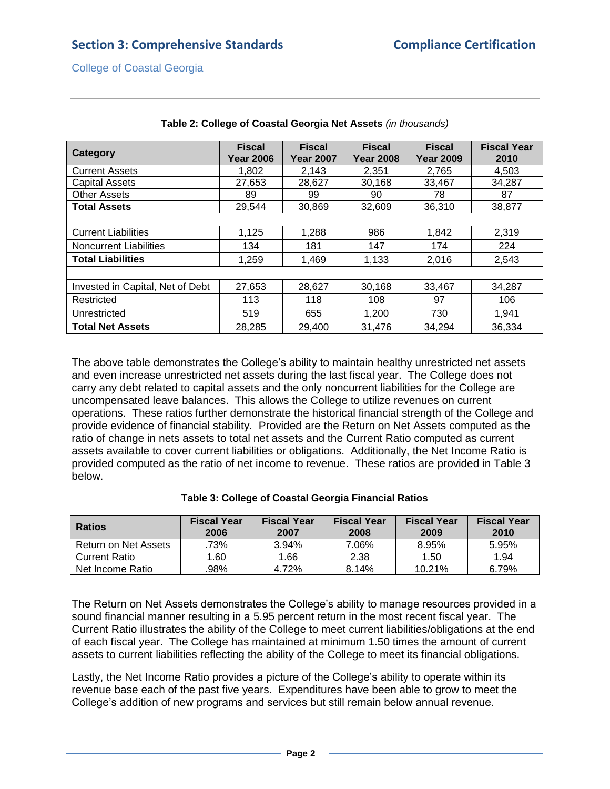| <b>Category</b>                  | <b>Fiscal</b><br><b>Year 2006</b> | <b>Fiscal</b><br><b>Year 2007</b> | <b>Fiscal</b><br><b>Year 2008</b> | <b>Fiscal</b><br><b>Year 2009</b> | <b>Fiscal Year</b><br>2010 |
|----------------------------------|-----------------------------------|-----------------------------------|-----------------------------------|-----------------------------------|----------------------------|
| <b>Current Assets</b>            | 1,802                             | 2,143                             | 2,351                             | 2,765                             | 4,503                      |
| <b>Capital Assets</b>            | 27,653                            | 28,627                            | 30,168                            | 33,467                            | 34,287                     |
| <b>Other Assets</b>              | 89                                | 99                                | 90                                | 78                                | 87                         |
| <b>Total Assets</b>              | 29,544                            | 30,869                            | 32,609                            | 36,310                            | 38,877                     |
|                                  |                                   |                                   |                                   |                                   |                            |
| <b>Current Liabilities</b>       | 1,125                             | 1,288                             | 986                               | 1,842                             | 2,319                      |
| <b>Noncurrent Liabilities</b>    | 134                               | 181                               | 147                               | 174                               | 224                        |
| <b>Total Liabilities</b>         | 1,259                             | 1,469                             | 1,133                             | 2,016                             | 2,543                      |
|                                  |                                   |                                   |                                   |                                   |                            |
| Invested in Capital, Net of Debt | 27,653                            | 28,627                            | 30,168                            | 33,467                            | 34,287                     |
| Restricted                       | 113                               | 118                               | 108                               | 97                                | 106                        |
| Unrestricted                     | 519                               | 655                               | 1,200                             | 730                               | 1,941                      |
| <b>Total Net Assets</b>          | 28,285                            | 29,400                            | 31,476                            | 34,294                            | 36,334                     |

#### **Table 2: College of Coastal Georgia Net Assets** *(in thousands)*

The above table demonstrates the College's ability to maintain healthy unrestricted net assets and even increase unrestricted net assets during the last fiscal year. The College does not carry any debt related to capital assets and the only noncurrent liabilities for the College are uncompensated leave balances. This allows the College to utilize revenues on current operations. These ratios further demonstrate the historical financial strength of the College and provide evidence of financial stability. Provided are the Return on Net Assets computed as the ratio of change in nets assets to total net assets and the Current Ratio computed as current assets available to cover current liabilities or obligations. Additionally, the Net Income Ratio is provided computed as the ratio of net income to revenue. These ratios are provided in Table 3 below.

| <b>Ratios</b>        | <b>Fiscal Year</b><br>2006 | <b>Fiscal Year</b><br>2007 | <b>Fiscal Year</b><br>2008 | <b>Fiscal Year</b><br>2009 | <b>Fiscal Year</b><br>2010 |
|----------------------|----------------------------|----------------------------|----------------------------|----------------------------|----------------------------|
| Return on Net Assets | .73%                       | 3.94%                      | 7.06%                      | 8.95%                      | 5.95%                      |
| <b>Current Ratio</b> | 1.60                       | 1.66                       | 2.38                       | 1.50                       | 1.94                       |
| Net Income Ratio     | .98%                       | 4.72%                      | 8.14%                      | 10.21%                     | 6.79%                      |

#### **Table 3: College of Coastal Georgia Financial Ratios**

The Return on Net Assets demonstrates the College's ability to manage resources provided in a sound financial manner resulting in a 5.95 percent return in the most recent fiscal year. The Current Ratio illustrates the ability of the College to meet current liabilities/obligations at the end of each fiscal year. The College has maintained at minimum 1.50 times the amount of current assets to current liabilities reflecting the ability of the College to meet its financial obligations.

Lastly, the Net Income Ratio provides a picture of the College's ability to operate within its revenue base each of the past five years. Expenditures have been able to grow to meet the College's addition of new programs and services but still remain below annual revenue.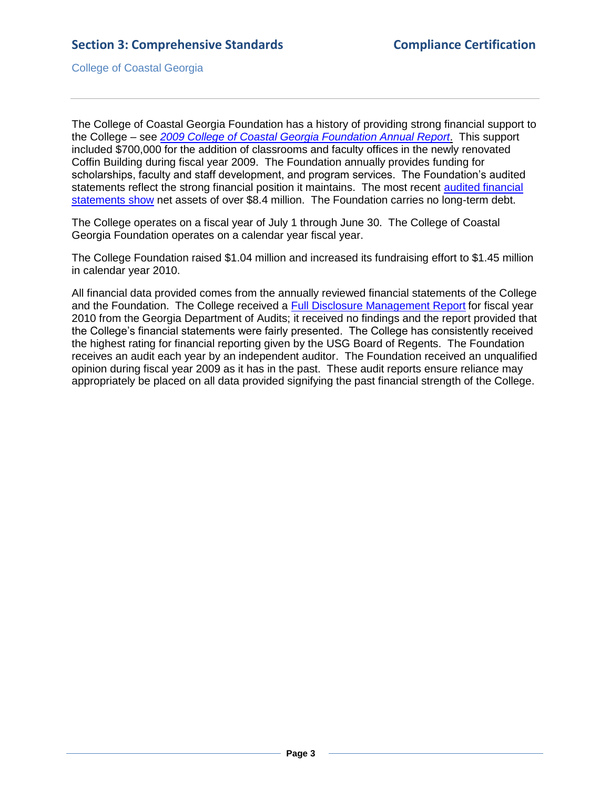The College of Coastal Georgia Foundation has a history of providing strong financial support to the College – see *[2009 College of Coastal Georgia Foundation Annual Report](2.11.1.hFoundationAnnualReport.pdf#page=1)*. This support included \$700,000 for the addition of classrooms and faculty offices in the newly renovated Coffin Building during fiscal year 2009. The Foundation annually provides funding for scholarships, faculty and staff development, and program services. The Foundation's audited statements reflect the strong financial position it maintains. The most recent [audited financial](3.10.1.aFoundationAnnualReport2009.pdf#page=1)  [statements show](3.10.1.aFoundationAnnualReport2009.pdf#page=1) net assets of over \$8.4 million. The Foundation carries no long-term debt.

The College operates on a fiscal year of July 1 through June 30. The College of Coastal Georgia Foundation operates on a calendar year fiscal year.

The College Foundation raised \$1.04 million and increased its fundraising effort to \$1.45 million in calendar year 2010.

All financial data provided comes from the annually reviewed financial statements of the College and the Foundation. The College received a [Full Disclosure Management Report](2.11.1.bIndAcctsMgmt.pdf#page=1) for fiscal year 2010 from the Georgia Department of Audits; it received no findings and the report provided that the College's financial statements were fairly presented. The College has consistently received the highest rating for financial reporting given by the USG Board of Regents. The Foundation receives an audit each year by an independent auditor. The Foundation received an unqualified opinion during fiscal year 2009 as it has in the past. These audit reports ensure reliance may appropriately be placed on all data provided signifying the past financial strength of the College.